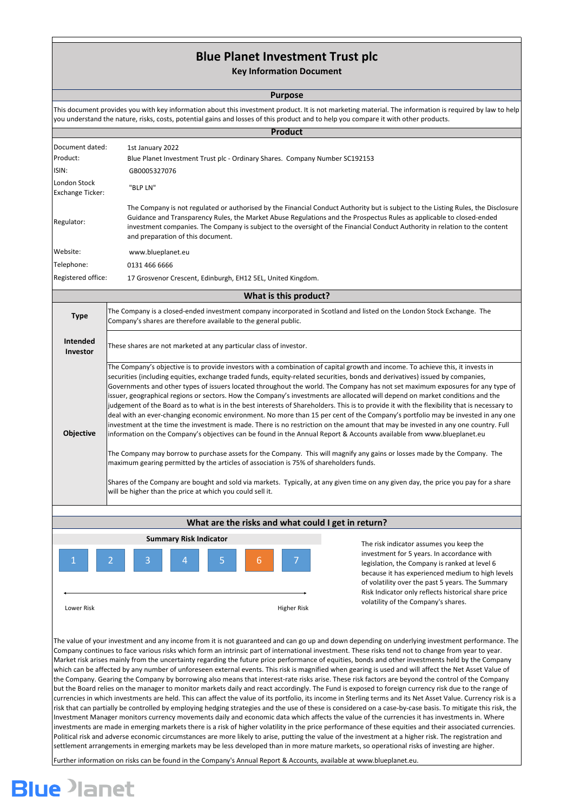# **Blue Planet Investment Trust plc**

# **Key Information Document**

This document provides you with key information about this investment product. It is not marketing material. The information is required by law to help you understand the nature, risks, costs, potential gains and losses of this product and to help you compare it with other products.

## **Purpose**

| What are the risks and what could I get in return? |  |  |  |  |  |  |
|----------------------------------------------------|--|--|--|--|--|--|
|----------------------------------------------------|--|--|--|--|--|--|

The value of your investment and any income from it is not guaranteed and can go up and down depending on underlying investment performance. The Company continues to face various risks which form an intrinsic part of international investment. These risks tend not to change from year to year. Market risk arises mainly from the uncertainty regarding the future price performance of equities, bonds and other investments held by the Company which can be affected by any number of unforeseen external events. This risk is magnified when gearing is used and will affect the Net Asset Value of the Company. Gearing the Company by borrowing also means that interest-rate risks arise. These risk factors are beyond the control of the Company but the Board relies on the manager to monitor markets daily and react accordingly. The Fund is exposed to foreign currency risk due to the range of currencies in which investments are held. This can affect the value of its portfolio, its income in Sterling terms and its Net Asset Value. Currency risk is a risk that can partially be controlled by employing hedging strategies and the use of these is considered on a case-by-case basis. To mitigate this risk, the Investment Manager monitors currency movements daily and economic data which affects the value of the currencies it has investments in. Where investments are made in emerging markets there is a risk of higher volatility in the price performance of these equities and their associated currencies. Political risk and adverse economic circumstances are more likely to arise, putting the value of the investment at a higher risk. The registration and settlement arrangements in emerging markets may be less developed than in more mature markets, so operational risks of investing are higher.

| <b>Product</b>                          |                                                                                                                                                                                                                                                                                                                                                                                                                                                                                                                                                                                                                                                                                                                                                                                                                                                                                                                                                                                                                                                                                                                                                                                                                                                                                                                                                                                                                                                                                                                 |  |  |  |  |  |
|-----------------------------------------|-----------------------------------------------------------------------------------------------------------------------------------------------------------------------------------------------------------------------------------------------------------------------------------------------------------------------------------------------------------------------------------------------------------------------------------------------------------------------------------------------------------------------------------------------------------------------------------------------------------------------------------------------------------------------------------------------------------------------------------------------------------------------------------------------------------------------------------------------------------------------------------------------------------------------------------------------------------------------------------------------------------------------------------------------------------------------------------------------------------------------------------------------------------------------------------------------------------------------------------------------------------------------------------------------------------------------------------------------------------------------------------------------------------------------------------------------------------------------------------------------------------------|--|--|--|--|--|
| Document dated:                         | 1st January 2022                                                                                                                                                                                                                                                                                                                                                                                                                                                                                                                                                                                                                                                                                                                                                                                                                                                                                                                                                                                                                                                                                                                                                                                                                                                                                                                                                                                                                                                                                                |  |  |  |  |  |
| Product:                                | Blue Planet Investment Trust plc - Ordinary Shares. Company Number SC192153                                                                                                                                                                                                                                                                                                                                                                                                                                                                                                                                                                                                                                                                                                                                                                                                                                                                                                                                                                                                                                                                                                                                                                                                                                                                                                                                                                                                                                     |  |  |  |  |  |
| ISIN:                                   | GB0005327076                                                                                                                                                                                                                                                                                                                                                                                                                                                                                                                                                                                                                                                                                                                                                                                                                                                                                                                                                                                                                                                                                                                                                                                                                                                                                                                                                                                                                                                                                                    |  |  |  |  |  |
| London Stock<br><b>Exchange Ticker:</b> | "BLP LN"                                                                                                                                                                                                                                                                                                                                                                                                                                                                                                                                                                                                                                                                                                                                                                                                                                                                                                                                                                                                                                                                                                                                                                                                                                                                                                                                                                                                                                                                                                        |  |  |  |  |  |
| Regulator:                              | The Company is not regulated or authorised by the Financial Conduct Authority but is subject to the Listing Rules, the Disclosure<br>Guidance and Transparency Rules, the Market Abuse Regulations and the Prospectus Rules as applicable to closed-ended<br>investment companies. The Company is subject to the oversight of the Financial Conduct Authority in relation to the content<br>and preparation of this document.                                                                                                                                                                                                                                                                                                                                                                                                                                                                                                                                                                                                                                                                                                                                                                                                                                                                                                                                                                                                                                                                                   |  |  |  |  |  |
| Website:                                | www.blueplanet.eu                                                                                                                                                                                                                                                                                                                                                                                                                                                                                                                                                                                                                                                                                                                                                                                                                                                                                                                                                                                                                                                                                                                                                                                                                                                                                                                                                                                                                                                                                               |  |  |  |  |  |
| Telephone:                              | 0131 466 6666                                                                                                                                                                                                                                                                                                                                                                                                                                                                                                                                                                                                                                                                                                                                                                                                                                                                                                                                                                                                                                                                                                                                                                                                                                                                                                                                                                                                                                                                                                   |  |  |  |  |  |
| Registered office:                      | 17 Grosvenor Crescent, Edinburgh, EH12 5EL, United Kingdom.                                                                                                                                                                                                                                                                                                                                                                                                                                                                                                                                                                                                                                                                                                                                                                                                                                                                                                                                                                                                                                                                                                                                                                                                                                                                                                                                                                                                                                                     |  |  |  |  |  |
|                                         | What is this product?                                                                                                                                                                                                                                                                                                                                                                                                                                                                                                                                                                                                                                                                                                                                                                                                                                                                                                                                                                                                                                                                                                                                                                                                                                                                                                                                                                                                                                                                                           |  |  |  |  |  |
| <b>Type</b>                             | The Company is a closed-ended investment company incorporated in Scotland and listed on the London Stock Exchange. The<br>Company's shares are therefore available to the general public.                                                                                                                                                                                                                                                                                                                                                                                                                                                                                                                                                                                                                                                                                                                                                                                                                                                                                                                                                                                                                                                                                                                                                                                                                                                                                                                       |  |  |  |  |  |
| Intended<br>Investor                    | These shares are not marketed at any particular class of investor.                                                                                                                                                                                                                                                                                                                                                                                                                                                                                                                                                                                                                                                                                                                                                                                                                                                                                                                                                                                                                                                                                                                                                                                                                                                                                                                                                                                                                                              |  |  |  |  |  |
| <b>Objective</b>                        | The Company's objective is to provide investors with a combination of capital growth and income. To achieve this, it invests in<br>securities (including equities, exchange traded funds, equity-related securities, bonds and derivatives) issued by companies,<br>Governments and other types of issuers located throughout the world. The Company has not set maximum exposures for any type of<br>issuer, geographical regions or sectors. How the Company's investments are allocated will depend on market conditions and the<br>judgement of the Board as to what is in the best interests of Shareholders. This is to provide it with the flexibility that is necessary to<br>deal with an ever-changing economic environment. No more than 15 per cent of the Company's portfolio may be invested in any one<br>investment at the time the investment is made. There is no restriction on the amount that may be invested in any one country. Full<br>information on the Company's objectives can be found in the Annual Report & Accounts available from www.blueplanet.eu<br>The Company may borrow to purchase assets for the Company. This will magnify any gains or losses made by the Company. The<br>maximum gearing permitted by the articles of association is 75% of shareholders funds.<br>Shares of the Company are bought and sold via markets. Typically, at any given time on any given day, the price you pay for a share<br>will be higher than the price at which you could sell it. |  |  |  |  |  |
|                                         | Countor of the light population to discuss the country of the disc                                                                                                                                                                                                                                                                                                                                                                                                                                                                                                                                                                                                                                                                                                                                                                                                                                                                                                                                                                                                                                                                                                                                                                                                                                                                                                                                                                                                                                              |  |  |  |  |  |



Higher Risk

Further information on risks can be found in the Company's Annual Report & Accounts, available at www.blueplanet.eu.

# **Blue** Planet

The risk indicator assumes you keep the investment for 5 years. In accordance with legislation, the Company is ranked at level 6 because it has experienced medium to high levels of volatility over the past 5 years. The Summary Risk Indicator only reflects historical share price volatility of the Company's shares.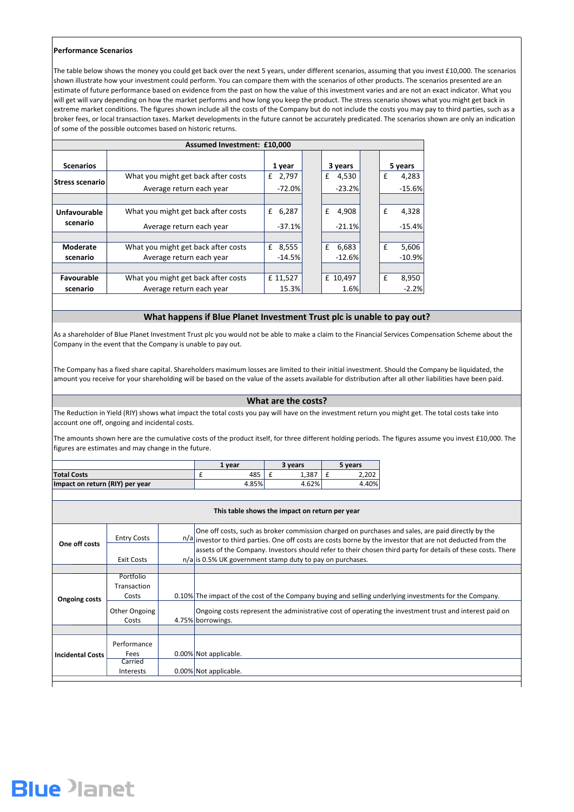## **Performance Scenarios**

|                                 | vear  |  | <b>R</b> years |    | 5 years |  |
|---------------------------------|-------|--|----------------|----|---------|--|
| <b>Total Costs</b>              | 485   |  | 1,387          | -- | 2,202   |  |
| Impact on return (RIY) per year | 4.85% |  | 4.62%          |    | 4.40%   |  |

| This table shows the impact on return per year |                                          |  |                                                                                                                                                                                                                                                                                                                                                                                                          |  |  |  |  |
|------------------------------------------------|------------------------------------------|--|----------------------------------------------------------------------------------------------------------------------------------------------------------------------------------------------------------------------------------------------------------------------------------------------------------------------------------------------------------------------------------------------------------|--|--|--|--|
| One off costs                                  | <b>Entry Costs</b>                       |  | One off costs, such as broker commission charged on purchases and sales, are paid directly by the<br>$\frac{n}{a}$ investor to third parties. One off costs are costs borne by the investor that are not deducted from the<br>assets of the Company. Investors should refer to their chosen third party for details of these costs. There<br>$n/a$ is 0.5% UK government stamp duty to pay on purchases. |  |  |  |  |
|                                                | Exit Costs                               |  |                                                                                                                                                                                                                                                                                                                                                                                                          |  |  |  |  |
|                                                |                                          |  |                                                                                                                                                                                                                                                                                                                                                                                                          |  |  |  |  |
| <b>Ongoing costs</b>                           | <b>Portfolio</b><br>Transaction<br>Costs |  | 0.10% The impact of the cost of the Company buying and selling underlying investments for the Company.                                                                                                                                                                                                                                                                                                   |  |  |  |  |
|                                                | Other Ongoing<br>Costs                   |  | Ongoing costs represent the administrative cost of operating the investment trust and interest paid on<br>4.75% borrowings.                                                                                                                                                                                                                                                                              |  |  |  |  |
|                                                |                                          |  |                                                                                                                                                                                                                                                                                                                                                                                                          |  |  |  |  |
| <b>Incidental Costs</b>                        | Performance<br><b>Fees</b>               |  | 0.00% Not applicable.                                                                                                                                                                                                                                                                                                                                                                                    |  |  |  |  |
|                                                | Carried<br><b>Interests</b>              |  | 0.00% Not applicable.                                                                                                                                                                                                                                                                                                                                                                                    |  |  |  |  |
|                                                |                                          |  |                                                                                                                                                                                                                                                                                                                                                                                                          |  |  |  |  |



The Reduction in Yield (RIY) shows what impact the total costs you pay will have on the investment return you might get. The total costs take into account one off, ongoing and incidental costs.

| <b>Assumed Investment: £10,000</b> |                                     |                      |  |            |  |         |          |  |
|------------------------------------|-------------------------------------|----------------------|--|------------|--|---------|----------|--|
|                                    |                                     |                      |  |            |  |         |          |  |
| <b>Scenarios</b>                   |                                     | 1 year               |  | 3 years    |  | 5 years |          |  |
|                                    | What you might get back after costs | £ 2,797              |  | £<br>4,530 |  | £       | 4,283    |  |
| <b>Stress scenario</b>             | Average return each year            | $-72.0%$             |  | $-23.2%$   |  |         | $-15.6%$ |  |
|                                    |                                     |                      |  |            |  |         |          |  |
| <b>Unfavourable</b>                | What you might get back after costs | 6,287<br>£           |  | £<br>4,908 |  | £       | 4,328    |  |
| scenario                           | Average return each year            | $-37.1%$             |  | $-21.1%$   |  |         | $-15.4%$ |  |
|                                    |                                     |                      |  |            |  |         |          |  |
| <b>Moderate</b>                    | What you might get back after costs | 8,555<br>$f_{\rm L}$ |  | 6,683<br>f |  | £       | 5,606    |  |
| scenario                           | Average return each year            | $-14.5%$             |  | $-12.6%$   |  |         | $-10.9%$ |  |
|                                    |                                     |                      |  |            |  |         |          |  |
| <b>Favourable</b>                  | What you might get back after costs | £ 11,527             |  | £ 10,497   |  | £       | 8,950    |  |
| scenario                           | Average return each year            | 15.3%                |  | 1.6%       |  |         | $-2.2%$  |  |

The amounts shown here are the cumulative costs of the product itself, for three different holding periods. The figures assume you invest £10,000. The figures are estimates and may change in the future.

As a shareholder of Blue Planet Investment Trust plc you would not be able to make a claim to the Financial Services Compensation Scheme about the Company in the event that the Company is unable to pay out.

The Company has a fixed share capital. Shareholders maximum losses are limited to their initial investment. Should the Company be liquidated, the amount you receive for your shareholding will be based on the value of the assets available for distribution after all other liabilities have been paid.

# **What happens if Blue Planet Investment Trust plc is unable to pay out?**

# **What are the costs?**

The table below shows the money you could get back over the next 5 years, under different scenarios, assuming that you invest £10,000. The scenarios shown illustrate how your investment could perform. You can compare them with the scenarios of other products. The scenarios presented are an estimate of future performance based on evidence from the past on how the value of this investment varies and are not an exact indicator. What you will get will vary depending on how the market performs and how long you keep the product. The stress scenario shows what you might get back in extreme market conditions. The figures shown include all the costs of the Company but do not include the costs you may pay to third parties, such as a broker fees, or local transaction taxes. Market developments in the future cannot be accurately predicated. The scenarios shown are only an indication of some of the possible outcomes based on historic returns.